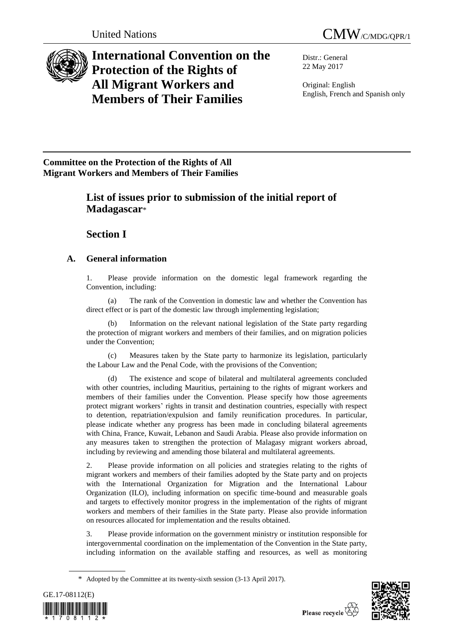

# **International Convention on the Protection of the Rights of All Migrant Workers and Members of Their Families**

Distr.: General 22 May 2017

Original: English English, French and Spanish only

## **Committee on the Protection of the Rights of All Migrant Workers and Members of Their Families**

## **List of issues prior to submission of the initial report of Madagascar**\*

## **Section I**

## **A. General information**

1. Please provide information on the domestic legal framework regarding the Convention, including:

(a) The rank of the Convention in domestic law and whether the Convention has direct effect or is part of the domestic law through implementing legislation;

Information on the relevant national legislation of the State party regarding the protection of migrant workers and members of their families, and on migration policies under the Convention;

(c) Measures taken by the State party to harmonize its legislation, particularly the Labour Law and the Penal Code, with the provisions of the Convention;

(d) The existence and scope of bilateral and multilateral agreements concluded with other countries, including Mauritius, pertaining to the rights of migrant workers and members of their families under the Convention. Please specify how those agreements protect migrant workers' rights in transit and destination countries, especially with respect to detention, repatriation/expulsion and family reunification procedures. In particular, please indicate whether any progress has been made in concluding bilateral agreements with China, France, Kuwait, Lebanon and Saudi Arabia. Please also provide information on any measures taken to strengthen the protection of Malagasy migrant workers abroad, including by reviewing and amending those bilateral and multilateral agreements.

2. Please provide information on all policies and strategies relating to the rights of migrant workers and members of their families adopted by the State party and on projects with the International Organization for Migration and the International Labour Organization (ILO), including information on specific time-bound and measurable goals and targets to effectively monitor progress in the implementation of the rights of migrant workers and members of their families in the State party. Please also provide information on resources allocated for implementation and the results obtained.

3. Please provide information on the government ministry or institution responsible for intergovernmental coordination on the implementation of the Convention in the State party, including information on the available staffing and resources, as well as monitoring

<sup>\*</sup> Adopted by the Committee at its twenty-sixth session (3-13 April 2017).



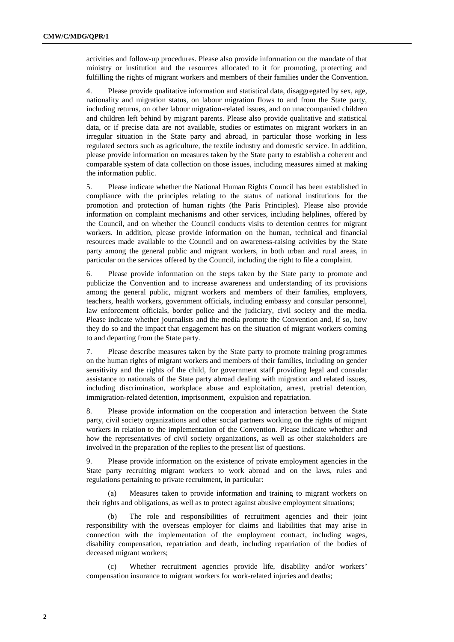activities and follow-up procedures. Please also provide information on the mandate of that ministry or institution and the resources allocated to it for promoting, protecting and fulfilling the rights of migrant workers and members of their families under the Convention.

4. Please provide qualitative information and statistical data, disaggregated by sex, age, nationality and migration status, on labour migration flows to and from the State party, including returns, on other labour migration-related issues, and on unaccompanied children and children left behind by migrant parents. Please also provide qualitative and statistical data, or if precise data are not available, studies or estimates on migrant workers in an irregular situation in the State party and abroad, in particular those working in less regulated sectors such as agriculture, the textile industry and domestic service. In addition, please provide information on measures taken by the State party to establish a coherent and comparable system of data collection on those issues, including measures aimed at making the information public.

5. Please indicate whether the National Human Rights Council has been established in compliance with the principles relating to the status of national institutions for the promotion and protection of human rights (the Paris Principles). Please also provide information on complaint mechanisms and other services, including helplines, offered by the Council, and on whether the Council conducts visits to detention centres for migrant workers. In addition, please provide information on the human, technical and financial resources made available to the Council and on awareness-raising activities by the State party among the general public and migrant workers, in both urban and rural areas, in particular on the services offered by the Council, including the right to file a complaint.

6. Please provide information on the steps taken by the State party to promote and publicize the Convention and to increase awareness and understanding of its provisions among the general public, migrant workers and members of their families, employers, teachers, health workers, government officials, including embassy and consular personnel, law enforcement officials, border police and the judiciary, civil society and the media. Please indicate whether journalists and the media promote the Convention and, if so, how they do so and the impact that engagement has on the situation of migrant workers coming to and departing from the State party.

7. Please describe measures taken by the State party to promote training programmes on the human rights of migrant workers and members of their families, including on gender sensitivity and the rights of the child, for government staff providing legal and consular assistance to nationals of the State party abroad dealing with migration and related issues, including discrimination, workplace abuse and exploitation, arrest, pretrial detention, immigration-related detention, imprisonment, expulsion and repatriation.

8. Please provide information on the cooperation and interaction between the State party, civil society organizations and other social partners working on the rights of migrant workers in relation to the implementation of the Convention. Please indicate whether and how the representatives of civil society organizations, as well as other stakeholders are involved in the preparation of the replies to the present list of questions.

9. Please provide information on the existence of private employment agencies in the State party recruiting migrant workers to work abroad and on the laws, rules and regulations pertaining to private recruitment, in particular:

(a) Measures taken to provide information and training to migrant workers on their rights and obligations, as well as to protect against abusive employment situations;

(b) The role and responsibilities of recruitment agencies and their joint responsibility with the overseas employer for claims and liabilities that may arise in connection with the implementation of the employment contract, including wages, disability compensation, repatriation and death, including repatriation of the bodies of deceased migrant workers;

(c) Whether recruitment agencies provide life, disability and/or workers' compensation insurance to migrant workers for work-related injuries and deaths;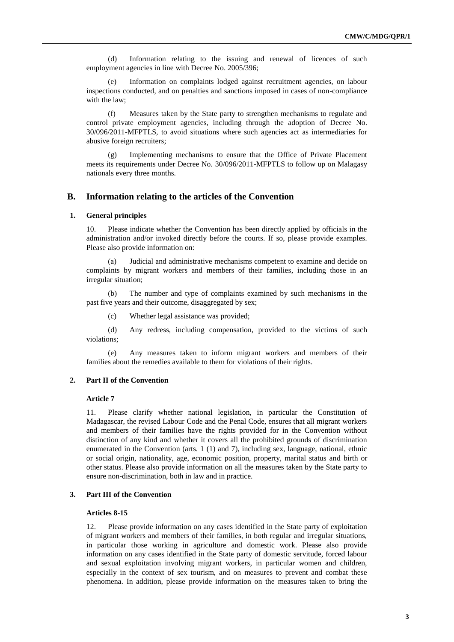(d) Information relating to the issuing and renewal of licences of such employment agencies in line with Decree No. 2005/396;

(e) Information on complaints lodged against recruitment agencies, on labour inspections conducted, and on penalties and sanctions imposed in cases of non-compliance with the law;

(f) Measures taken by the State party to strengthen mechanisms to regulate and control private employment agencies, including through the adoption of Decree No. 30/096/2011-MFPTLS, to avoid situations where such agencies act as intermediaries for abusive foreign recruiters;

(g) Implementing mechanisms to ensure that the Office of Private Placement meets its requirements under Decree No. 30/096/2011-MFPTLS to follow up on Malagasy nationals every three months.

### **B. Information relating to the articles of the Convention**

#### **1. General principles**

10. Please indicate whether the Convention has been directly applied by officials in the administration and/or invoked directly before the courts. If so, please provide examples. Please also provide information on:

(a) Judicial and administrative mechanisms competent to examine and decide on complaints by migrant workers and members of their families, including those in an irregular situation;

(b) The number and type of complaints examined by such mechanisms in the past five years and their outcome, disaggregated by sex;

(c) Whether legal assistance was provided;

(d) Any redress, including compensation, provided to the victims of such violations;

(e) Any measures taken to inform migrant workers and members of their families about the remedies available to them for violations of their rights.

#### **2. Part II of the Convention**

#### **Article 7**

11. Please clarify whether national legislation, in particular the Constitution of Madagascar, the revised Labour Code and the Penal Code, ensures that all migrant workers and members of their families have the rights provided for in the Convention without distinction of any kind and whether it covers all the prohibited grounds of discrimination enumerated in the Convention (arts. 1 (1) and 7), including sex, language, national, ethnic or social origin, nationality, age, economic position, property, marital status and birth or other status. Please also provide information on all the measures taken by the State party to ensure non-discrimination, both in law and in practice.

#### **3. Part III of the Convention**

#### **Articles 8-15**

12. Please provide information on any cases identified in the State party of exploitation of migrant workers and members of their families, in both regular and irregular situations, in particular those working in agriculture and domestic work. Please also provide information on any cases identified in the State party of domestic servitude, forced labour and sexual exploitation involving migrant workers, in particular women and children, especially in the context of sex tourism, and on measures to prevent and combat these phenomena. In addition, please provide information on the measures taken to bring the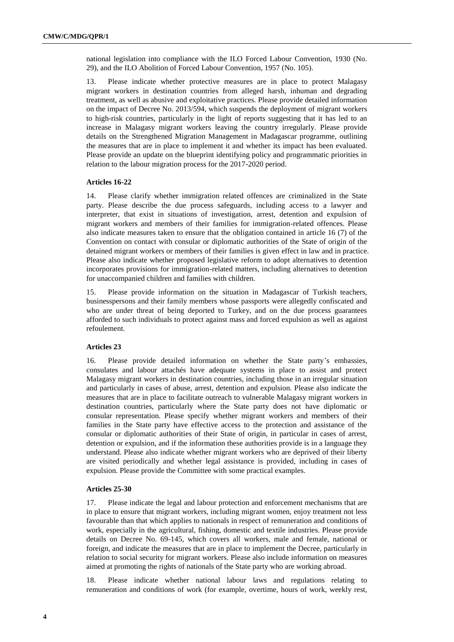national legislation into compliance with the ILO Forced Labour Convention, 1930 (No. 29), and the ILO Abolition of Forced Labour Convention, 1957 (No. 105).

13. Please indicate whether protective measures are in place to protect Malagasy migrant workers in destination countries from alleged harsh, inhuman and degrading treatment, as well as abusive and exploitative practices. Please provide detailed information on the impact of Decree No. 2013/594, which suspends the deployment of migrant workers to high-risk countries, particularly in the light of reports suggesting that it has led to an increase in Malagasy migrant workers leaving the country irregularly. Please provide details on the Strengthened Migration Management in Madagascar programme, outlining the measures that are in place to implement it and whether its impact has been evaluated. Please provide an update on the blueprint identifying policy and programmatic priorities in relation to the labour migration process for the 2017-2020 period.

### **Articles 16-22**

14. Please clarify whether immigration related offences are criminalized in the State party. Please describe the due process safeguards, including access to a lawyer and interpreter, that exist in situations of investigation, arrest, detention and expulsion of migrant workers and members of their families for immigration-related offences. Please also indicate measures taken to ensure that the obligation contained in article 16 (7) of the Convention on contact with consular or diplomatic authorities of the State of origin of the detained migrant workers or members of their families is given effect in law and in practice. Please also indicate whether proposed legislative reform to adopt alternatives to detention incorporates provisions for immigration-related matters, including alternatives to detention for unaccompanied children and families with children.

15. Please provide information on the situation in Madagascar of Turkish teachers, businesspersons and their family members whose passports were allegedly confiscated and who are under threat of being deported to Turkey, and on the due process guarantees afforded to such individuals to protect against mass and forced expulsion as well as against refoulement.

### **Articles 23**

16. Please provide detailed information on whether the State party's embassies, consulates and labour attachés have adequate systems in place to assist and protect Malagasy migrant workers in destination countries, including those in an irregular situation and particularly in cases of abuse, arrest, detention and expulsion. Please also indicate the measures that are in place to facilitate outreach to vulnerable Malagasy migrant workers in destination countries, particularly where the State party does not have diplomatic or consular representation. Please specify whether migrant workers and members of their families in the State party have effective access to the protection and assistance of the consular or diplomatic authorities of their State of origin, in particular in cases of arrest, detention or expulsion, and if the information these authorities provide is in a language they understand. Please also indicate whether migrant workers who are deprived of their liberty are visited periodically and whether legal assistance is provided, including in cases of expulsion. Please provide the Committee with some practical examples.

#### **Articles 25-30**

17. Please indicate the legal and labour protection and enforcement mechanisms that are in place to ensure that migrant workers, including migrant women, enjoy treatment not less favourable than that which applies to nationals in respect of remuneration and conditions of work, especially in the agricultural, fishing, domestic and textile industries. Please provide details on Decree No. 69-145, which covers all workers, male and female, national or foreign, and indicate the measures that are in place to implement the Decree, particularly in relation to social security for migrant workers. Please also include information on measures aimed at promoting the rights of nationals of the State party who are working abroad.

18. Please indicate whether national labour laws and regulations relating to remuneration and conditions of work (for example, overtime, hours of work, weekly rest,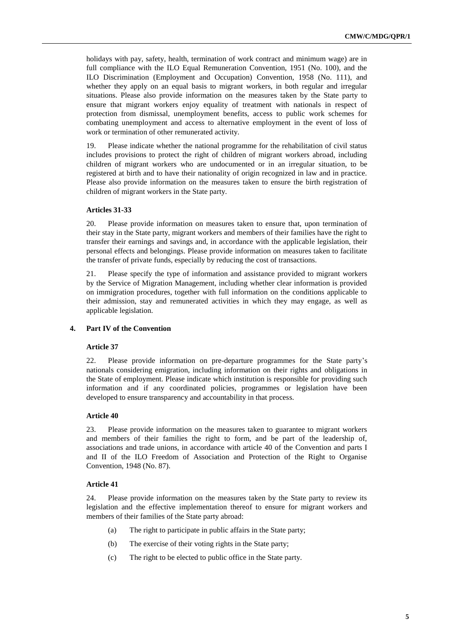holidays with pay, safety, health, termination of work contract and minimum wage) are in full compliance with the ILO Equal Remuneration Convention, 1951 (No. 100), and the ILO Discrimination (Employment and Occupation) Convention, 1958 (No. 111), and whether they apply on an equal basis to migrant workers, in both regular and irregular situations. Please also provide information on the measures taken by the State party to ensure that migrant workers enjoy equality of treatment with nationals in respect of protection from dismissal, unemployment benefits, access to public work schemes for combating unemployment and access to alternative employment in the event of loss of work or termination of other remunerated activity.

19. Please indicate whether the national programme for the rehabilitation of civil status includes provisions to protect the right of children of migrant workers abroad, including children of migrant workers who are undocumented or in an irregular situation, to be registered at birth and to have their nationality of origin recognized in law and in practice. Please also provide information on the measures taken to ensure the birth registration of children of migrant workers in the State party.

#### **Articles 31-33**

20. Please provide information on measures taken to ensure that, upon termination of their stay in the State party, migrant workers and members of their families have the right to transfer their earnings and savings and, in accordance with the applicable legislation, their personal effects and belongings. Please provide information on measures taken to facilitate the transfer of private funds, especially by reducing the cost of transactions.

21. Please specify the type of information and assistance provided to migrant workers by the Service of Migration Management, including whether clear information is provided on immigration procedures, together with full information on the conditions applicable to their admission, stay and remunerated activities in which they may engage, as well as applicable legislation.

### **4. Part IV of the Convention**

#### **Article 37**

22. Please provide information on pre-departure programmes for the State party's nationals considering emigration, including information on their rights and obligations in the State of employment. Please indicate which institution is responsible for providing such information and if any coordinated policies, programmes or legislation have been developed to ensure transparency and accountability in that process.

#### **Article 40**

23. Please provide information on the measures taken to guarantee to migrant workers and members of their families the right to form, and be part of the leadership of, associations and trade unions, in accordance with article 40 of the Convention and parts I and II of the ILO Freedom of Association and Protection of the Right to Organise Convention, 1948 (No. 87).

### **Article 41**

24. Please provide information on the measures taken by the State party to review its legislation and the effective implementation thereof to ensure for migrant workers and members of their families of the State party abroad:

- (a) The right to participate in public affairs in the State party;
- (b) The exercise of their voting rights in the State party;
- (c) The right to be elected to public office in the State party.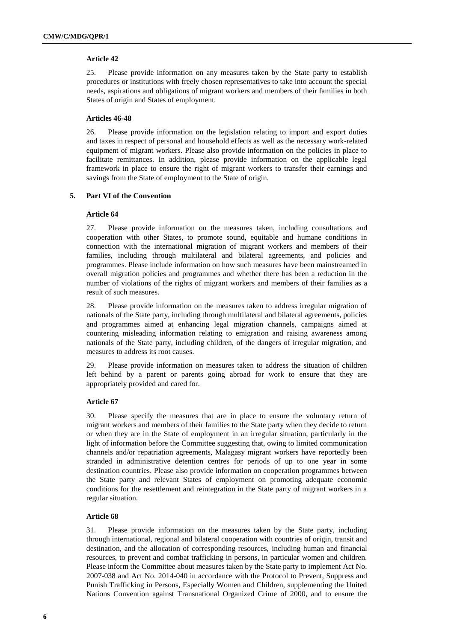### **Article 42**

25. Please provide information on any measures taken by the State party to establish procedures or institutions with freely chosen representatives to take into account the special needs, aspirations and obligations of migrant workers and members of their families in both States of origin and States of employment.

#### **Articles 46-48**

26. Please provide information on the legislation relating to import and export duties and taxes in respect of personal and household effects as well as the necessary work-related equipment of migrant workers. Please also provide information on the policies in place to facilitate remittances. In addition, please provide information on the applicable legal framework in place to ensure the right of migrant workers to transfer their earnings and savings from the State of employment to the State of origin.

### **5. Part VI of the Convention**

#### **Article 64**

27. Please provide information on the measures taken, including consultations and cooperation with other States, to promote sound, equitable and humane conditions in connection with the international migration of migrant workers and members of their families, including through multilateral and bilateral agreements, and policies and programmes. Please include information on how such measures have been mainstreamed in overall migration policies and programmes and whether there has been a reduction in the number of violations of the rights of migrant workers and members of their families as a result of such measures.

28. Please provide information on the measures taken to address irregular migration of nationals of the State party, including through multilateral and bilateral agreements, policies and programmes aimed at enhancing legal migration channels, campaigns aimed at countering misleading information relating to emigration and raising awareness among nationals of the State party, including children, of the dangers of irregular migration, and measures to address its root causes.

29. Please provide information on measures taken to address the situation of children left behind by a parent or parents going abroad for work to ensure that they are appropriately provided and cared for.

### **Article 67**

30. Please specify the measures that are in place to ensure the voluntary return of migrant workers and members of their families to the State party when they decide to return or when they are in the State of employment in an irregular situation, particularly in the light of information before the Committee suggesting that, owing to limited communication channels and/or repatriation agreements, Malagasy migrant workers have reportedly been stranded in administrative detention centres for periods of up to one year in some destination countries. Please also provide information on cooperation programmes between the State party and relevant States of employment on promoting adequate economic conditions for the resettlement and reintegration in the State party of migrant workers in a regular situation.

#### **Article 68**

31. Please provide information on the measures taken by the State party, including through international, regional and bilateral cooperation with countries of origin, transit and destination, and the allocation of corresponding resources, including human and financial resources, to prevent and combat trafficking in persons, in particular women and children. Please inform the Committee about measures taken by the State party to implement Act No. 2007-038 and Act No. 2014-040 in accordance with the Protocol to Prevent, Suppress and Punish Trafficking in Persons, Especially Women and Children, supplementing the United Nations Convention against Transnational Organized Crime of 2000, and to ensure the